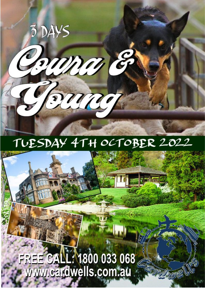

## TUESDAY 4TH OCTOBER 2022

**Restauran** 

FREE CALL: 1800 033 068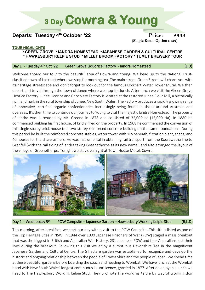# **3 Day Cowra & Young**

## **Departs: Tuesday 4th October '22 Price: \$933**

 **(Single Room Option \$132)**

### **TOUR HIGHLIGHTS**

### **\* GREEN GROVE \* IANDRA HOMESTEAD \*JAPANESE GARDEN & CULTURAL CENTRE \* HAWKESBURY KELPIE STUD \* MILLET BROOM FACTORY \* TUMUT BREWERY TOUR**

#### Day 1 - Tuesday 4<sup>th</sup> Oct '22 Green Grove Liquorice Factory - landra Homestead (L,D)

Welcome aboard our tour to the beautiful area of Cowra and Young! We head up to the National Trustclassified town of Lockhart where we stop for morning tea. The main street, Green Street, will charm you with its heritage streetscape and don't forget to look out for the famous [Lockhart Water Tower Mural.](https://www.visitnsw.com/destinations/country-nsw/riverina/lockhart/attractions/lockhart-water-tower) We then depart and travel through the town of Junee where we stop for lunch. After lunch we visit the Green Grove Licorice Factory. Junee Licorice and Chocolate Factory is located at the restored Junee Flour Mill, a historically rich landmark in the rural township of Junee, New South Wales. The Factory produces a rapidly growing range of innovative, certified organic confectionaries increasingly being found in shops around Australia and overseas. It'sthen time to continue our journey to Young to visit the majestic Iandra Homestead. The property of Iandra was purchased by Mr. Greene in 1878 and consisted of 32,000 ac (13,000 Ha). In 1880 he commenced building his first house, of bricks fired on the property. In 1908 he commenced the conversion of this single storey brick house to a two-storey reinforced concrete building on the same foundations. During this period he built the reinforced concrete stables, water tower with silo beneath, filtration plant, sheds, and 40 houses for the sharefarmers. He was instrumental in obtaining rail transport from the Koorawatha line to Grenfell (with the rail siding of Iandra taking Greenethorpe as its new name), and also arranged the layout of the village of Greenethorpe. Tonight we stay overnight at Town House Motel, Cowra.



#### Day 2 - Wednesday 5<sup>th</sup> POW Campsite – Japanese Garden – Hawkesbury Working Kelpie Stud (B,L,D)

This morning, after breakfast, we start our day with a visit to the POW Campsite. This site is listed as one of the Top Heritage Sites in NSW. In 1944 over 1000 Japanese Prisoners of War (POW) staged a mass breakout that was the biggest in British and Australian War History. 231 Japanese POW and four Australians lost their lives during the breakout. Following this visit we enjoy a sumptuous Devonshire Tea in the magnificent Japanese Garden and Cultural Centre. The 5 hectare garden was established to recognize and develop the historic and ongoing relationship between the people of Cowra Shire and the people of Japan. We spend time at these beautiful gardens before boarding the coach and heading to Wombat. We have lunch at the Wombat hotel with New South Wales' longest continuous liquor licence, granted in 1877. After an enjoyable lunch we head to The Hawkesbury Working Kelpie Stud. They promote the working Kelpie by way of working dog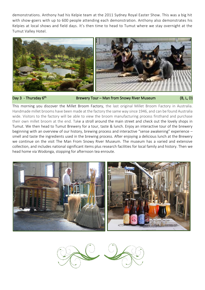demonstrations. Anthony had his Kelpie team at the 2011 Sydney Royal Easter Show. This was a big hit with show-goers with up to 600 people attending each demonstration. Anthony also demonstrates his Kelpies at local shows and field days. It's then time to head to Tumut where we stay overnight at the Tumut Valley Hotel.



Day 3 - Thursday 6<sup>th</sup>

Brewery Tour – Man from Snowy River Museum (B, L, D)

This morning you discover the Millet Broom Factory, the last original Millet Broom Factory in Australia. Handmade millet brooms have been made at the factory the same way since 1946, and can be found Australia wide. Visitors to the factory will be able to view the broom manufacturing process firsthand and purchase their own millet broom at the end. Take a stroll around the main street and check out the lovely shops in Tumut. We then head to Tumut Brewery for a tour, taste & lunch. Enjoy an interactive tour of the brewery beginning with an overview of our history, brewing process and interactive "sense awakening" experience – smell and taste the ingredients used in the brewing process. After enjoying a delicious lunch at the Brewery we continue on the visit The Man From Snowy River Museum. The museum has a varied and extensive collection, and includes national significant items plus research facilities for local family and history. Then we head home via Wodonga, stopping for afternoon tea enroute.